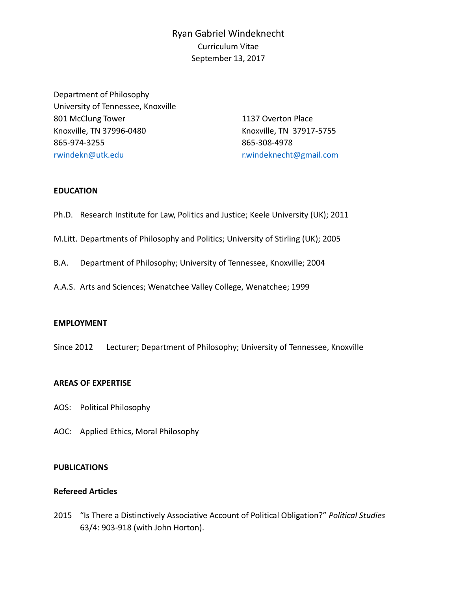# Ryan Gabriel Windeknecht Curriculum Vitae September 13, 2017

Department of Philosophy University of Tennessee, Knoxville 801 McClung Tower Knoxville, TN 37996-0480 865-974-3255 [rwindekn@utk.edu](mailto:rwindekn@utk.edu)

1137 Overton Place Knoxville, TN 37917-5755 865-308-4978 [r.windeknecht@gmail.com](mailto:r.windeknecht@gmail.com)

# **EDUCATION**

- Ph.D. Research Institute for Law, Politics and Justice; Keele University (UK); 2011
- M.Litt. Departments of Philosophy and Politics; University of Stirling (UK); 2005
- B.A. Department of Philosophy; University of Tennessee, Knoxville; 2004
- A.A.S. Arts and Sciences; Wenatchee Valley College, Wenatchee; 1999

# **EMPLOYMENT**

Since 2012 Lecturer; Department of Philosophy; University of Tennessee, Knoxville

# **AREAS OF EXPERTISE**

- AOS: Political Philosophy
- AOC: Applied Ethics, Moral Philosophy

# **PUBLICATIONS**

# **Refereed Articles**

2015 "Is There a Distinctively Associative Account of Political Obligation?" *Political Studies* 63/4: 903-918 (with John Horton).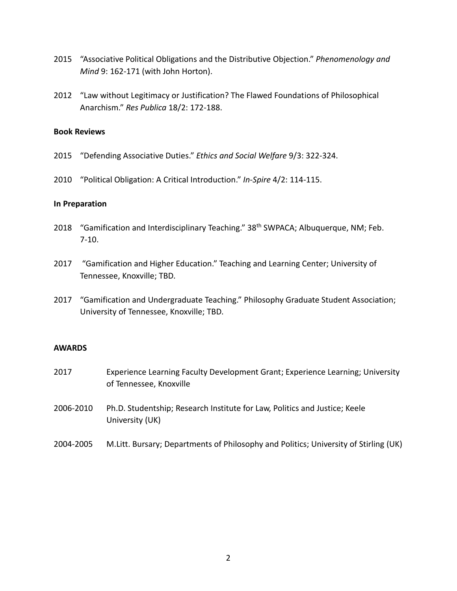- 2015 "Associative Political Obligations and the Distributive Objection." *Phenomenology and Mind* 9: 162-171 (with John Horton).
- 2012 "Law without Legitimacy or Justification? The Flawed Foundations of Philosophical Anarchism." *Res Publica* 18/2: 172-188.

# **Book Reviews**

- 2015 "Defending Associative Duties." *Ethics and Social Welfare* 9/3: 322-324.
- 2010 "Political Obligation: A Critical Introduction." *In-Spire* 4/2: 114-115.

### **In Preparation**

- 2018 "Gamification and Interdisciplinary Teaching." 38<sup>th</sup> SWPACA; Albuquerque, NM; Feb. 7-10.
- 2017 "Gamification and Higher Education." Teaching and Learning Center; University of Tennessee, Knoxville; TBD.
- 2017 "Gamification and Undergraduate Teaching." Philosophy Graduate Student Association; University of Tennessee, Knoxville; TBD.

# **AWARDS**

- 2017 Experience Learning Faculty Development Grant; Experience Learning; University of Tennessee, Knoxville
- 2006-2010 Ph.D. Studentship; Research Institute for Law, Politics and Justice; Keele University (UK)
- 2004-2005 M.Litt. Bursary; Departments of Philosophy and Politics; University of Stirling (UK)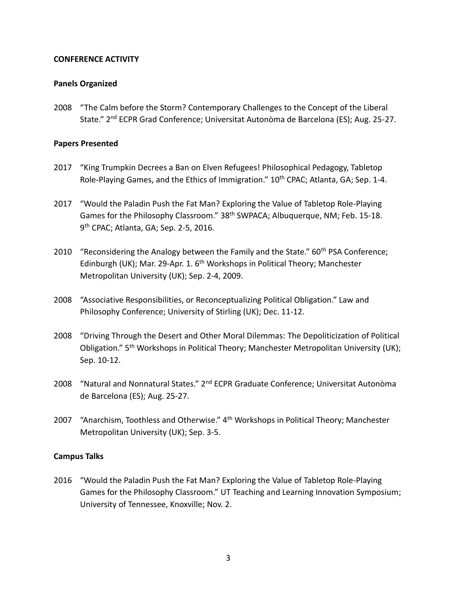# **CONFERENCE ACTIVITY**

### **Panels Organized**

2008 "The Calm before the Storm? Contemporary Challenges to the Concept of the Liberal State." 2nd ECPR Grad Conference; Universitat Autonòma de Barcelona (ES); Aug. 25-27.

### **Papers Presented**

- 2017 "King Trumpkin Decrees a Ban on Elven Refugees! Philosophical Pedagogy, Tabletop Role-Playing Games, and the Ethics of Immigration." 10<sup>th</sup> CPAC; Atlanta, GA; Sep. 1-4.
- 2017 "Would the Paladin Push the Fat Man? Exploring the Value of Tabletop Role-Playing Games for the Philosophy Classroom." 38<sup>th</sup> SWPACA; Albuquerque, NM; Feb. 15-18. 9 th CPAC; Atlanta, GA; Sep. 2-5, 2016.
- 2010 "Reconsidering the Analogy between the Family and the State." 60<sup>th</sup> PSA Conference; Edinburgh (UK); Mar. 29-Apr. 1. 6<sup>th</sup> Workshops in Political Theory; Manchester Metropolitan University (UK); Sep. 2-4, 2009.
- 2008 "Associative Responsibilities, or Reconceptualizing Political Obligation." Law and Philosophy Conference; University of Stirling (UK); Dec. 11-12.
- 2008 "Driving Through the Desert and Other Moral Dilemmas: The Depoliticization of Political Obligation." 5<sup>th</sup> Workshops in Political Theory; Manchester Metropolitan University (UK); Sep. 10-12.
- 2008 "Natural and Nonnatural States." 2<sup>nd</sup> ECPR Graduate Conference; Universitat Autonòma de Barcelona (ES); Aug. 25-27.
- 2007 "Anarchism, Toothless and Otherwise." 4<sup>th</sup> Workshops in Political Theory; Manchester Metropolitan University (UK); Sep. 3-5.

### **Campus Talks**

2016 "Would the Paladin Push the Fat Man? Exploring the Value of Tabletop Role-Playing Games for the Philosophy Classroom." UT Teaching and Learning Innovation Symposium; University of Tennessee, Knoxville; Nov. 2.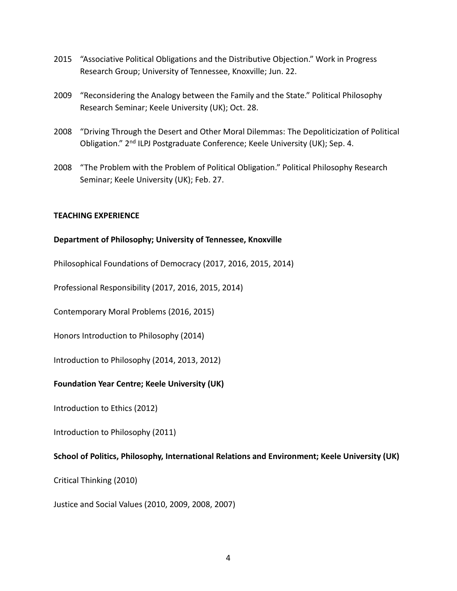- 2015 "Associative Political Obligations and the Distributive Objection." Work in Progress Research Group; University of Tennessee, Knoxville; Jun. 22.
- 2009 "Reconsidering the Analogy between the Family and the State." Political Philosophy Research Seminar; Keele University (UK); Oct. 28.
- 2008 "Driving Through the Desert and Other Moral Dilemmas: The Depoliticization of Political Obligation." 2nd ILPJ Postgraduate Conference; Keele University (UK); Sep. 4.
- 2008 "The Problem with the Problem of Political Obligation." Political Philosophy Research Seminar; Keele University (UK); Feb. 27.

# **TEACHING EXPERIENCE**

# **Department of Philosophy; University of Tennessee, Knoxville**

Philosophical Foundations of Democracy (2017, 2016, 2015, 2014)

Professional Responsibility (2017, 2016, 2015, 2014)

Contemporary Moral Problems (2016, 2015)

Honors Introduction to Philosophy (2014)

Introduction to Philosophy (2014, 2013, 2012)

# **Foundation Year Centre; Keele University (UK)**

Introduction to Ethics (2012)

Introduction to Philosophy (2011)

# **School of Politics, Philosophy, International Relations and Environment; Keele University (UK)**

Critical Thinking (2010)

Justice and Social Values (2010, 2009, 2008, 2007)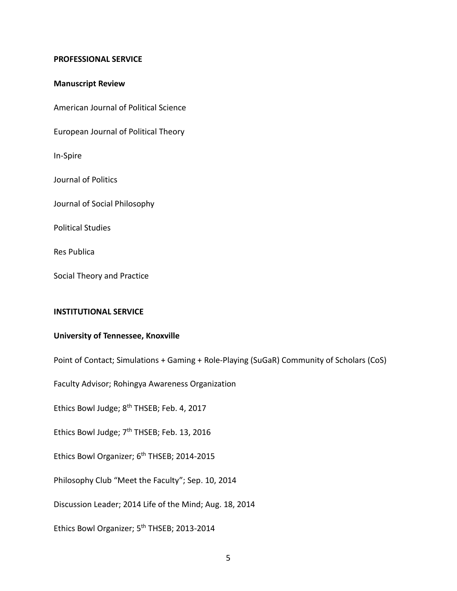### **PROFESSIONAL SERVICE**

### **Manuscript Review**

American Journal of Political Science

European Journal of Political Theory

In-Spire

Journal of Politics

Journal of Social Philosophy

Political Studies

Res Publica

Social Theory and Practice

### **INSTITUTIONAL SERVICE**

### **University of Tennessee, Knoxville**

Point of Contact; Simulations + Gaming + Role-Playing (SuGaR) Community of Scholars (CoS)

Faculty Advisor; Rohingya Awareness Organization

Ethics Bowl Judge; 8<sup>th</sup> THSEB; Feb. 4, 2017

Ethics Bowl Judge; 7<sup>th</sup> THSEB; Feb. 13, 2016

Ethics Bowl Organizer; 6<sup>th</sup> THSEB; 2014-2015

Philosophy Club "Meet the Faculty"; Sep. 10, 2014

Discussion Leader; 2014 Life of the Mind; Aug. 18, 2014

Ethics Bowl Organizer; 5th THSEB; 2013-2014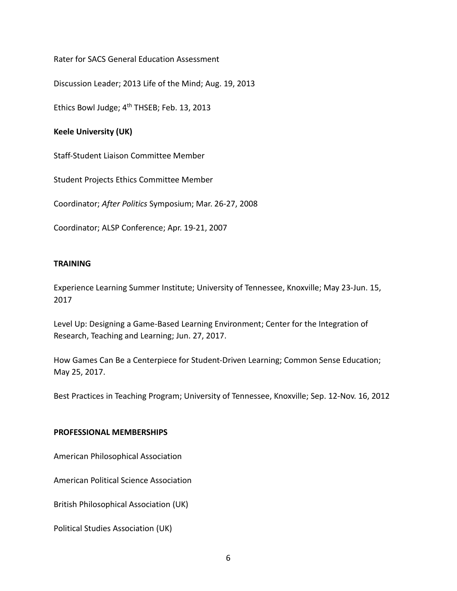Rater for SACS General Education Assessment

Discussion Leader; 2013 Life of the Mind; Aug. 19, 2013

Ethics Bowl Judge; 4<sup>th</sup> THSEB; Feb. 13, 2013

# **Keele University (UK)**

Staff-Student Liaison Committee Member

Student Projects Ethics Committee Member

Coordinator; *After Politics* Symposium; Mar. 26-27, 2008

Coordinator; ALSP Conference; Apr. 19-21, 2007

# **TRAINING**

Experience Learning Summer Institute; University of Tennessee, Knoxville; May 23-Jun. 15, 2017

Level Up: Designing a Game-Based Learning Environment; Center for the Integration of Research, Teaching and Learning; Jun. 27, 2017.

How Games Can Be a Centerpiece for Student-Driven Learning; Common Sense Education; May 25, 2017.

Best Practices in Teaching Program; University of Tennessee, Knoxville; Sep. 12-Nov. 16, 2012

# **PROFESSIONAL MEMBERSHIPS**

American Philosophical Association

American Political Science Association

British Philosophical Association (UK)

Political Studies Association (UK)